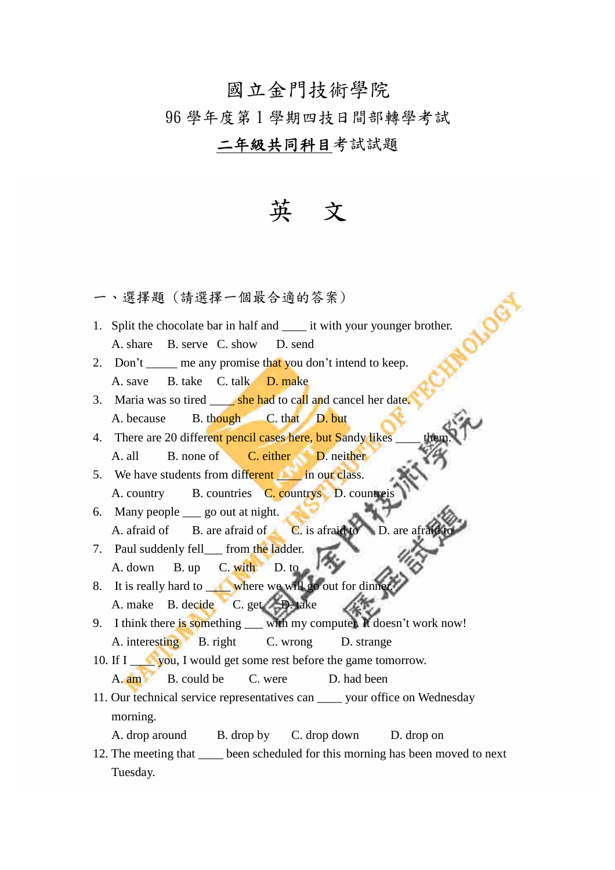## 國立金門技術學院

### 96 學年度第 1 學期四技日間部轉學考試

## 二年級共同科目考試試題

# 英 文

一、選擇題 (請選擇一個最合適的答案)

- 1. Split the chocolate bar in half and \_\_\_\_\_ it with your younger brother. A. share B. serve C. show D. send
- 2. Don't  $\frac{1}{\sqrt{2}}$  me any promise that you don't intend to keep. A. save B. take C. talk D. make
- 3. Maria was so tired <u>she had</u> to call and cancel her date. A. because B. though C. that D. but
- 4. There are 20 different pencil cases here, but Sandy likes A. all B. none of C. either D. neither
- 5. We have students from different in our class. A. country B. countries C. countrys D. countreis
- 6. Many people \_\_\_ go out at night. A. afraid of B. are afraid of C. is afraid to D. are a
- 7. Paul suddenly fell from the ladder. A. down B. up C. with D. to
- 8. It is really hard to where we will go out for dinn A. make B. decide C. get D. take
- 9. I think there is something with my computer. It doesn't work now! A. interesting B. right C. wrong D. strange
- 10. If I \_\_\_\_\_ you, I would get some rest before the game tomorrow. A. **am** B. could be C. were D. had been
- 11. Our technical service representatives can vour office on Wednesday morning.
	- A. drop around B. drop by C. drop down D. drop on
- 12. The meeting that been scheduled for this morning has been moved to next Tuesday.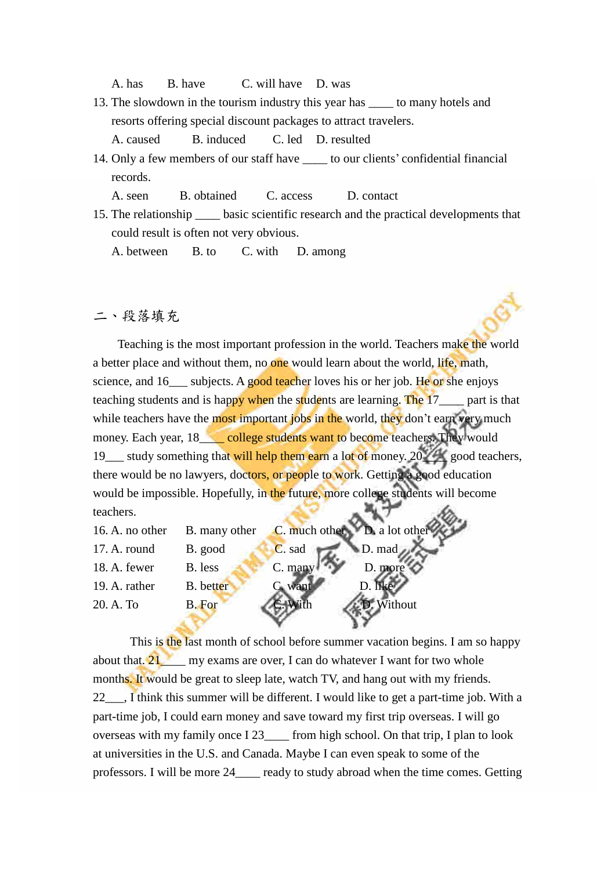A. has B. have C. will have D. was

13. The slowdown in the tourism industry this year has \_\_\_\_ to many hotels and resorts offering special discount packages to attract travelers.

A. caused B. induced C. led D. resulted

14. Only a few members of our staff have \_\_\_\_ to our clients'confidential financial records.

A. seen B. obtained C. access D. contact

15. The relationship \_\_\_\_ basic scientific research and the practical developments that could result is often not very obvious.

A. between B. to C. with D. among

### 二、段落填充

Teaching is the most important profession in the world. Teachers make the world a better place and without them, no one would learn about the world, life, math, science, and 16\_\_\_ subjects. A good teacher loves his or her job. He or she enjoys teaching students and is happy when the students are learning. The 17\_\_\_\_ part is that while teachers have the most important jobs in the world, they don't earn very much money. Each year, 18\_\_\_\_ college students want to become teachers. They would 19\_\_\_ study something that will help them earn a lot of money. 20\_\_\_\_ good teachers, there would be no lawyers, doctors, or people to work. Getting a good education would be impossible. Hopefully, in the future, more college students will become teachers.

| 16. A. no other | B. many other    | C. much other D. a lot other |
|-----------------|------------------|------------------------------|
| 17. A. round    | B. good          | $D. \text{mad}$<br>C. sad    |
| 18. A. fewer    | B. less          | C. many<br>D. more           |
| 19. A. rather   | <b>B.</b> better | C. want                      |
| 20. A. To       | <b>B.</b> For    | Without                      |
|                 |                  |                              |

This is the last month of school before summer vacation begins. I am so happy about that.  $21$  my exams are over, I can do whatever I want for two whole months. It would be great to sleep late, watch TV, and hang out with my friends. 22\_\_\_, I think this summer will be different. I would like to get a part-time job. With a part-time job, I could earn money and save toward my first trip overseas. I will go overseas with my family once I 23\_\_\_\_ from high school. On that trip, I plan to look at universities in the U.S. and Canada. Maybe I can even speak to some of the professors. I will be more 24\_\_\_\_ ready to study abroad when the time comes. Getting